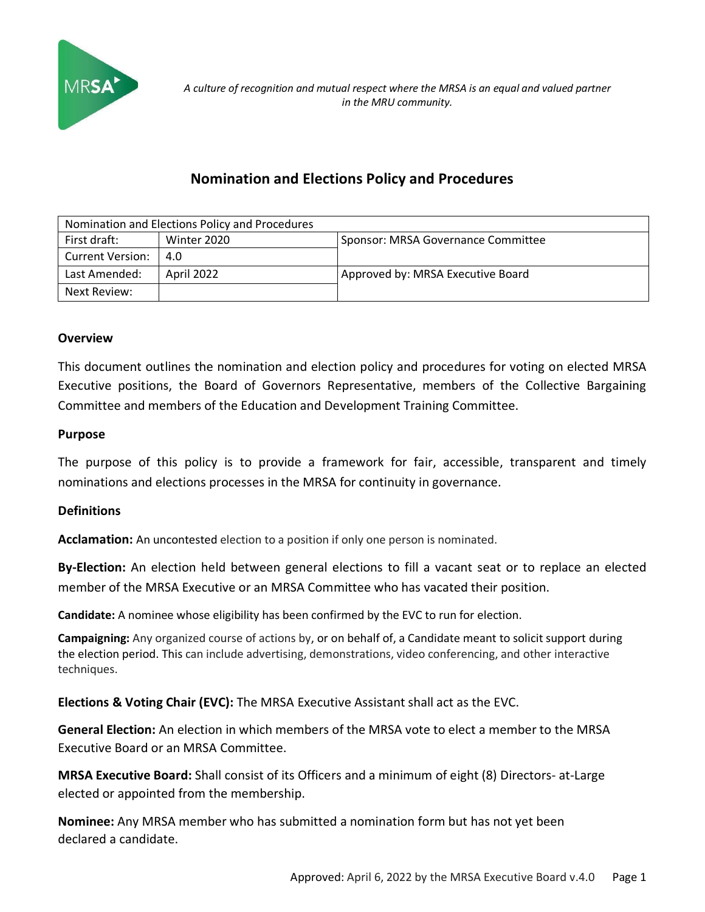

# **Nomination and Elections Policy and Procedures**

| Nomination and Elections Policy and Procedures |             |                                    |  |  |
|------------------------------------------------|-------------|------------------------------------|--|--|
| First draft:                                   | Winter 2020 | Sponsor: MRSA Governance Committee |  |  |
| <b>Current Version:</b>                        | 4.0         |                                    |  |  |
| Last Amended:                                  | April 2022  | Approved by: MRSA Executive Board  |  |  |
| Next Review:                                   |             |                                    |  |  |

## **Overview**

This document outlines the nomination and election policy and procedures for voting on elected MRSA Executive positions, the Board of Governors Representative, members of the Collective Bargaining Committee and members of the Education and Development Training Committee.

#### **Purpose**

The purpose of this policy is to provide a framework for fair, accessible, transparent and timely nominations and elections processes in the MRSA for continuity in governance.

# **Definitions**

**Acclamation:** An uncontested election to a position if only one person is nominated.

**By-Election:** An election held between general elections to fill a vacant seat or to replace an elected member of the MRSA Executive or an MRSA Committee who has vacated their position.

**Candidate:** A nominee whose eligibility has been confirmed by the EVC to run for election.

**Campaigning:** Any organized course of actions by, or on behalf of, a Candidate meant to solicit support during the election period. This can include advertising, demonstrations, video conferencing, and other interactive techniques.

**Elections & Voting Chair (EVC):** The MRSA Executive Assistant shall act as the EVC.

**General Election:** An election in which members of the MRSA vote to elect a member to the MRSA Executive Board or an MRSA Committee.

**MRSA Executive Board:** Shall consist of its Officers and a minimum of eight (8) Directors- at-Large elected or appointed from the membership.

**Nominee:** Any MRSA member who has submitted a nomination form but has not yet been declared a candidate.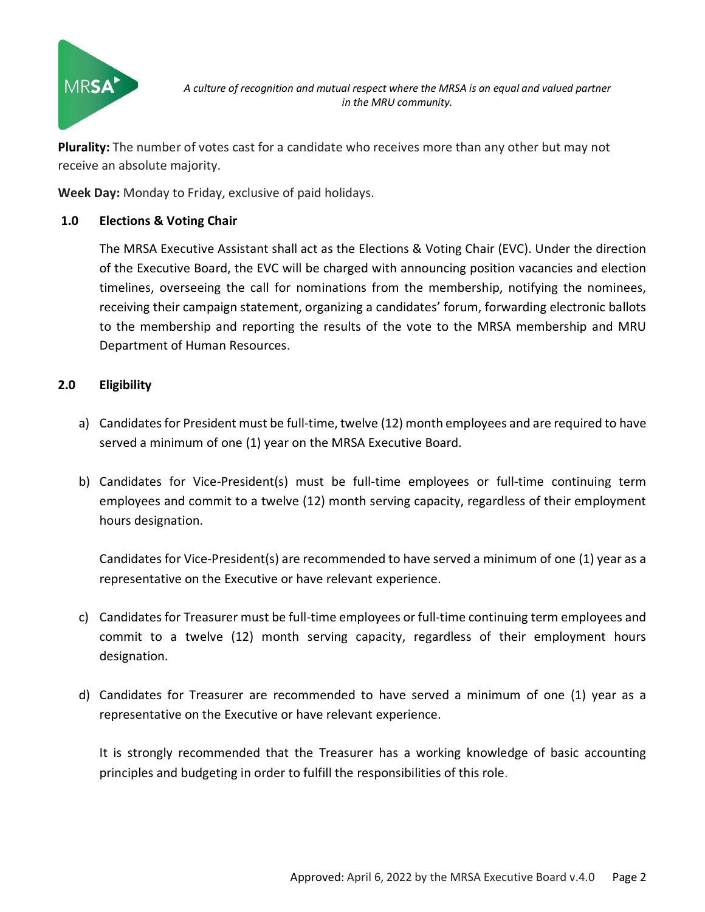

*A culture of recognition and mutual respect where the MRSA is an equal and valued partner in the MRU community.*

**Plurality:** The number of votes cast for a candidate who receives more than any other but may not receive an absolute majority.

**Week Day:** Monday to Friday, exclusive of paid holidays.

## **1.0 Elections & Voting Chair**

The MRSA Executive Assistant shall act as the Elections & Voting Chair (EVC). Under the direction of the Executive Board, the EVC will be charged with announcing position vacancies and election timelines, overseeing the call for nominations from the membership, notifying the nominees, receiving their campaign statement, organizing a candidates' forum, forwarding electronic ballots to the membership and reporting the results of the vote to the MRSA membership and MRU Department of Human Resources.

## **2.0 Eligibility**

- a) Candidates for President must be full-time, twelve (12) month employees and are required to have served a minimum of one (1) year on the MRSA Executive Board.
- b) Candidates for Vice-President(s) must be full-time employees or full-time continuing term employees and commit to a twelve (12) month serving capacity, regardless of their employment hours designation.

Candidates for Vice-President(s) are recommended to have served a minimum of one (1) year as a representative on the Executive or have relevant experience.

- c) Candidates for Treasurer must be full-time employees or full-time continuing term employees and commit to a twelve (12) month serving capacity, regardless of their employment hours designation.
- d) Candidates for Treasurer are recommended to have served a minimum of one (1) year as a representative on the Executive or have relevant experience.

It is strongly recommended that the Treasurer has a working knowledge of basic accounting principles and budgeting in order to fulfill the responsibilities of this role.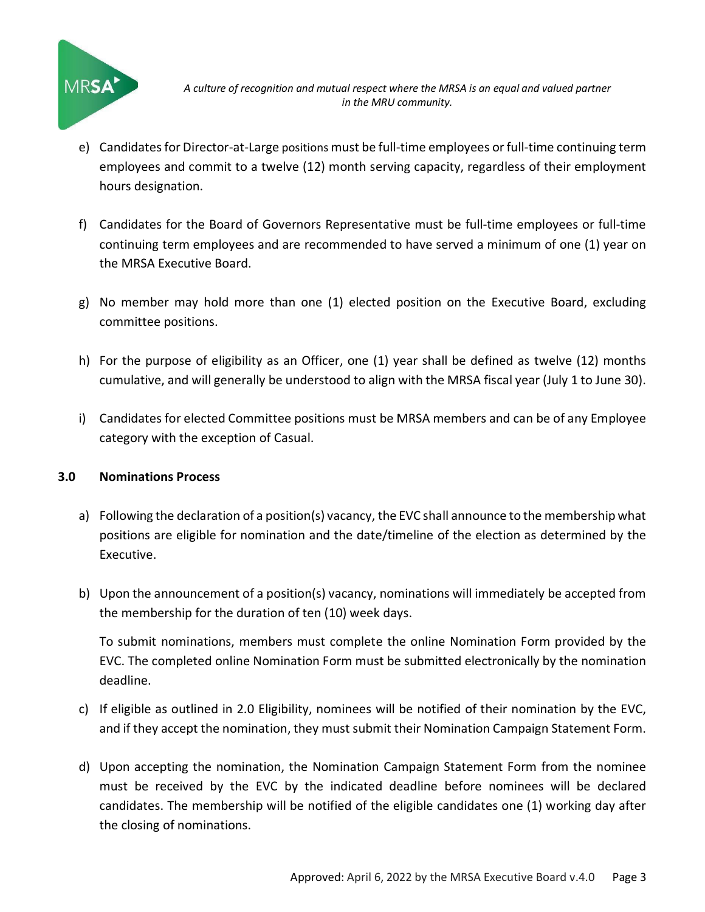

- e) Candidates for Director-at-Large positions must be full-time employees or full-time continuing term employees and commit to a twelve (12) month serving capacity, regardless of their employment hours designation.
- f) Candidates for the Board of Governors Representative must be full-time employees or full-time continuing term employees and are recommended to have served a minimum of one (1) year on the MRSA Executive Board.
- g) No member may hold more than one (1) elected position on the Executive Board, excluding committee positions.
- h) For the purpose of eligibility as an Officer, one (1) year shall be defined as twelve (12) months cumulative, and will generally be understood to align with the MRSA fiscal year (July 1 to June 30).
- i) Candidates for elected Committee positions must be MRSA members and can be of any Employee category with the exception of Casual.

# **3.0 Nominations Process**

- a) Following the declaration of a position(s) vacancy, the EVC shall announce to the membership what positions are eligible for nomination and the date/timeline of the election as determined by the Executive.
- b) Upon the announcement of a position(s) vacancy, nominations will immediately be accepted from the membership for the duration of ten (10) week days.

To submit nominations, members must complete the online Nomination Form provided by the EVC. The completed online Nomination Form must be submitted electronically by the nomination deadline.

- c) If eligible as outlined in 2.0 Eligibility, nominees will be notified of their nomination by the EVC, and if they accept the nomination, they must submit their Nomination Campaign Statement Form.
- d) Upon accepting the nomination, the Nomination Campaign Statement Form from the nominee must be received by the EVC by the indicated deadline before nominees will be declared candidates. The membership will be notified of the eligible candidates one (1) working day after the closing of nominations.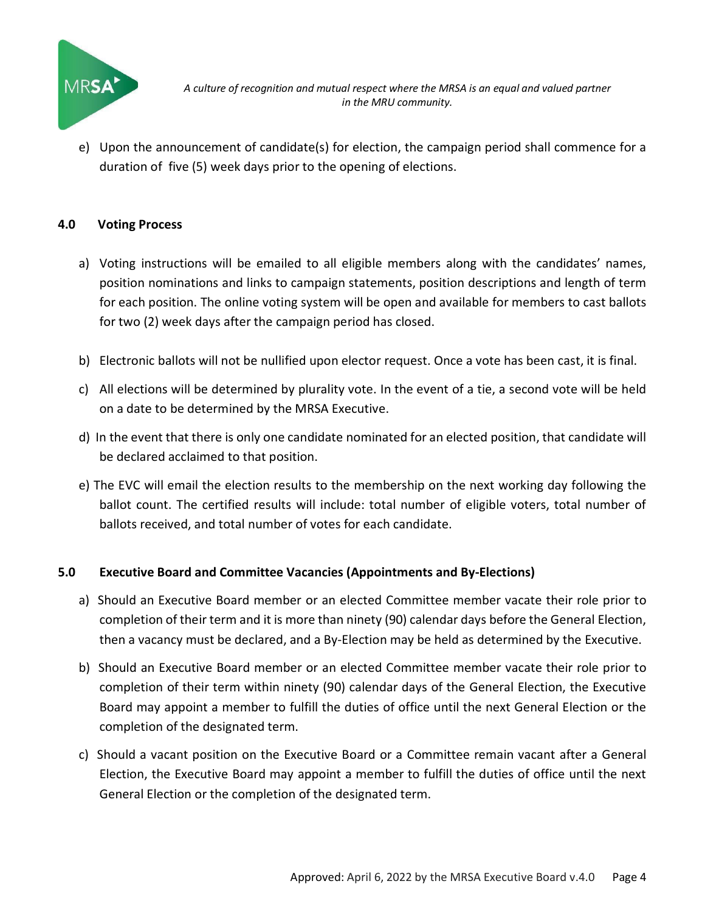

*A culture of recognition and mutual respect where the MRSA is an equal and valued partner in the MRU community.*

e) Upon the announcement of candidate(s) for election, the campaign period shall commence for a duration of five (5) week days prior to the opening of elections.

#### **4.0 Voting Process**

- a) Voting instructions will be emailed to all eligible members along with the candidates' names, position nominations and links to campaign statements, position descriptions and length of term for each position. The online voting system will be open and available for members to cast ballots for two (2) week days after the campaign period has closed.
- b) Electronic ballots will not be nullified upon elector request. Once a vote has been cast, it is final.
- c) All elections will be determined by plurality vote. In the event of a tie, a second vote will be held on a date to be determined by the MRSA Executive.
- d) In the event that there is only one candidate nominated for an elected position, that candidate will be declared acclaimed to that position.
- e) The EVC will email the election results to the membership on the next working day following the ballot count. The certified results will include: total number of eligible voters, total number of ballots received, and total number of votes for each candidate.

#### **5.0 Executive Board and Committee Vacancies (Appointments and By-Elections)**

- a) Should an Executive Board member or an elected Committee member vacate their role prior to completion of their term and it is more than ninety (90) calendar days before the General Election, then a vacancy must be declared, and a By-Election may be held as determined by the Executive.
- b) Should an Executive Board member or an elected Committee member vacate their role prior to completion of their term within ninety (90) calendar days of the General Election, the Executive Board may appoint a member to fulfill the duties of office until the next General Election or the completion of the designated term.
- c) Should a vacant position on the Executive Board or a Committee remain vacant after a General Election, the Executive Board may appoint a member to fulfill the duties of office until the next General Election or the completion of the designated term.